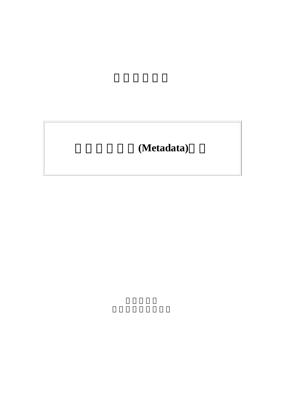# (Metadata)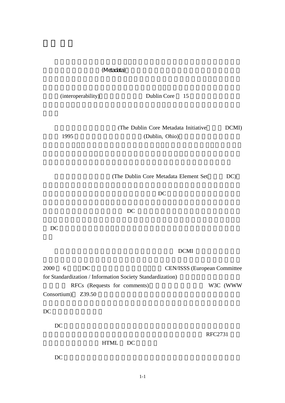### (Metadata)

(interoperability) Dublin Core 15

|      | (The Dublin Core Metadata Initiative) | DCMI) |  |
|------|---------------------------------------|-------|--|
| 1995 | (Dublin, Ohio)                        |       |  |

(The Dublin Core Metadata Element Set, DC)

#### $DC$

#### $DC$

 $DC$ 

### $\overline{DCMI}$

RFC2731

| 2000 6 | DC.                |                                                            | <b>CEN/ISSS</b> (European Committee) |           |
|--------|--------------------|------------------------------------------------------------|--------------------------------------|-----------|
|        |                    | for Standardization / Information Society Standardization) |                                      |           |
|        |                    | RFCs (Requests for comments)                               |                                      | W3C (WWW) |
|        | Consortium) Z39.50 |                                                            |                                      |           |
|        |                    |                                                            |                                      |           |
| DC     |                    |                                                            |                                      |           |

 $DC$ 

HTML DC

 $DC$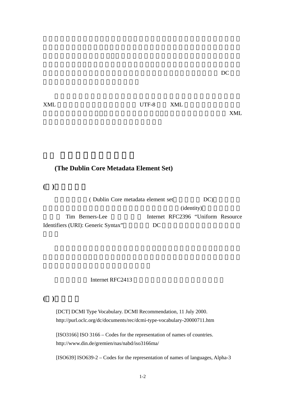$\overline{DC}$ 

#### $XML$  UTF-8  $XML$

本規範之內容主要包括:都柏林詮釋資料核心集、都柏林詮釋資料核心集之 XML

## **(The Dublin Core Metadata Element Set)**

 $($ 

( Dublin Core metadata element set DC)

(identity) Tim Berners-Lee **Internet RFC2396 "Uniform Resource** Identifiers (URI): Generic Syntax" DC

Internet RFC2413

**(**二**)**參考規範

[DCT] DCMI Type Vocabulary. DCMI Recommendation, 11 July 2000. http://purl.oclc.org/dc/documents/rec/dcmi-type-vocabulary-20000711.htm

[ISO3166] ISO 3166 – Codes for the representation of names of countries. http://www.din.de/gremien/nas/nabd/iso3166ma/

[ISO639] ISO639-2 – Codes for the representation of names of languages, Alpha-3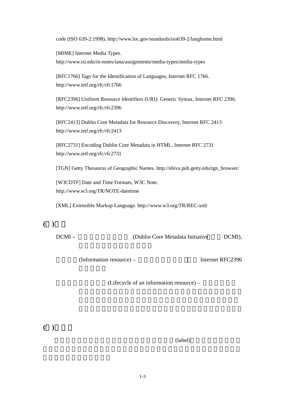code (ISO 639-2:1998). http://www.loc.gov/standards/iso639-2/langhome.html

[MIME] Internet Media Types. http://www.isi.edu/in-notes/iana/assignments/media-types/media-types

[RFC1766] Tags for the Identification of Languages, Internet RFC 1766. http://www.ietf.org/rfc/rfc1766

[RFC2396] Uniform Resource Identifiers (URI): Generic Syntax, Internet RFC 2396. http://www.ietf.org/rfc/rfc2396

[RFC2413] Dublin Core Metadata for Resource Discovery, Internet RFC 2413 http://www.ietf.org/rfc/rfc2413

[RFC2731] Encoding Dublin Core Metadata in HTML. Internet RFC 2731 http://www.ietf.org/rfc/rfc2731

[TGN] Getty Thesaurus of Geographic Names. http://shiva.pub.getty.edu/tgn\_browser/

[W3CDTF] Date and Time Formats, W3C Note. http://www.w3.org/TR/NOTE-datetime

[XML] Extensible Markup Language. http://www.w3.org/TR/REC-xml

**(**三**)**定義

DCMI – (Dublin Core Metadata Initiative DCMI),

(Information resource) – Internet RFC2396

 $(Lifecycle of an information resource) –$ 

 $($ 

 $(label)$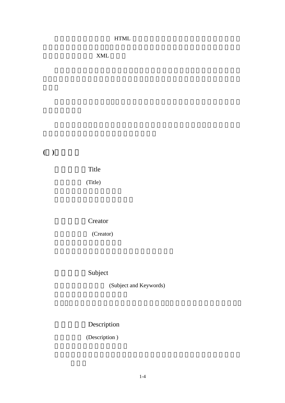HTML

平台時發生衝突,如 XML 環境。

**(**五**)**欄位內容

Title

(Title)

Creator

(Creator)

Subject

(Subject and Keywords)

Description

(Description)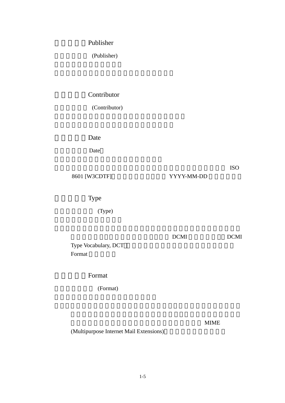# Publisher

(Publisher)

# Contributor

(Contributor)

Date

Date

| <b>ISO</b> |
|------------|
|            |

8601 [W3CDTF] YYYY-MM-DD

Type

(Type)

|                      | <b>DCMI</b> | DCMI |
|----------------------|-------------|------|
| Type Vocabulary, DCT |             |      |
| Format               |             |      |
|                      |             |      |

Format

(Format)

**MIME** 

(Multipurpose Internet Mail Extensions)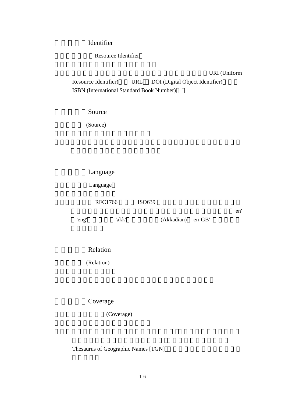**Identifier** 

Resource Identifier

URI (Uniform

Resource Identifier) URL DOI (Digital Object Identifier) ISBN (International Standard Book Number)

Source

(Source)

Language

Language

RFC1766 ISO639

'eng' lakk' (Akkadian) 'en-GB'

 $\mathbb{R}$  and  $\mathbb{R}$  and  $\mathbb{R}$  and  $\mathbb{R}$  and  $\mathbb{R}$  and  $\mathbb{R}$  en's  $\mathbb{R}$ 

**Relation** 

(Relation)

Coverage

(Coverage)

Thesaurus of Geographic Names [TGN]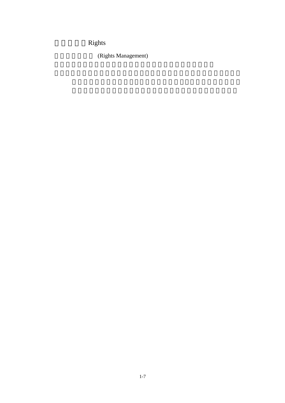Rights

(Rights Management)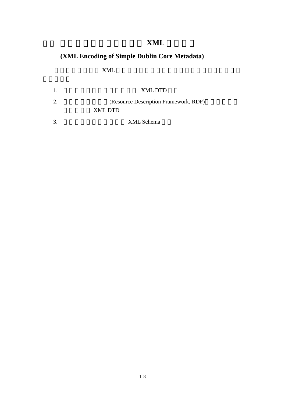# 三、 都柏林詮釋資料核心集之 **XML** 編碼格式

# **(XML Encoding of Simple Dublin Core Metadata)**

本文件說明如何以 XML 格式對都柏林詮釋資料核心集加以編碼,內容共分

| XML DTD                               |
|---------------------------------------|
| (Resource Description Framework, RDF) |
| XML DTD                               |
| XML Schema                            |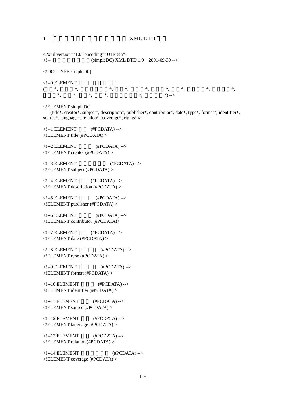#### 1. XML DTD

<?xml version="1.0" encoding="UTF-8"?>  $\langle$ !--  $\langle$  (simpleDC) XML DTD 1.0 2001-09-30 --> <!DOCTYPE simpleDC[  $<$ !--0 ELEMENT  $($  \*, \*, \*, \*, \*, \*, \*, \*, \*, \*, 識別碼\*, 來源\*, 語文\*, 關連\*, 時空涵蓋範圍\*, 權限管理\*) --> <!ELEMENT simpleDC (title\*, creator\*, subject\*, description\*, publisher\*, contributor\*, date\*, type\*, format\*, identifier\*, source\*, language\*, relation\*, coverage\*, rights\*)>  $\langle$ !--1 ELEMENT (#PCDATA) --> <!ELEMENT title (#PCDATA) >  $\langle$ !--2 ELEMENT (#PCDATA) --> <!ELEMENT creator (#PCDATA) >  $\langle$ !--3 ELEMENT (#PCDATA) --> <!ELEMENT subject (#PCDATA) >  $\langle$ !--4 ELEMENT (#PCDATA) --> <!ELEMENT description (#PCDATA) >  $\langle$ !--5 ELEMENT (#PCDATA) --> <!ELEMENT publisher (#PCDATA) >  $\langle$ !--6 ELEMENT (#PCDATA) --> <!ELEMENT contributor (#PCDATA)>  $\langle$ !--7 ELEMENT (#PCDATA) --> <!ELEMENT date (#PCDATA) >  $\langle$ !--8 ELEMENT (#PCDATA) --> <!ELEMENT type (#PCDATA) >  $\langle$ !--9 ELEMENT (#PCDATA) --> <!ELEMENT format (#PCDATA) >  $\langle$ !--10 ELEMENT (#PCDATA) --> <!ELEMENT identifier (#PCDATA) >  $\langle$ !--11 ELEMENT  $\langle$  #PCDATA) --> <!ELEMENT source (#PCDATA) >  $\langle$ !--12 ELEMENT (#PCDATA) --> <!ELEMENT language (#PCDATA) >  $\langle$ !--13 ELEMENT (#PCDATA) --> <!ELEMENT relation (#PCDATA) >  $\langle$ !--14 ELEMENT (#PCDATA) --> <!ELEMENT coverage (#PCDATA) >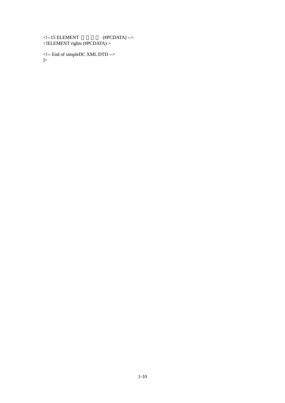$\langle$ !--15 ELEMENT (#PCDATA) --> <!ELEMENT rights (#PCDATA) >

<!-- End of simpleDC XML DTD --> ]>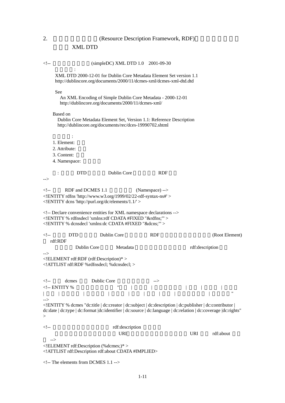XML DTD

 $\langle$ !--  $\langle$  (simpleDC) XML DTD 1.0 2001-09-30 參考資料: XML DTD 2000-12-01 for Dublin Core Metadata Element Set version 1.1 http://dublincore.org/documents/2000/11/dcmes-xml/dcmes-xml-dtd.dtd See An XML Encoding of Simple Dublin Core Metadata - 2000-12-01 http://dublincore.org/documents/2000/11/dcmes-xml/ Based on Dublin Core Metadata Element Set, Version 1.1: Reference Description http://dublincore.org/documents/rec/dces-19990702.shtml 名詞翻譯: 1. Element: 2. Attribute: 3. Content: 4. Namespace: : DTD Dublin Core RDF -->  $\langle$ !-- RDF and DCMES 1.1 (Namespace) --> <!ENTITY rdfns 'http://www.w3.org/1999/02/22-rdf-syntax-ns#' > <!ENTITY dcns 'http://purl.org/dc/elements/1.1/' > <!-- Declare convenience entities for XML namespace declarations --> <!ENTITY % rdfnsdecl 'xmlns:rdf CDATA #FIXED "&rdfns;"' > <!ENTITY % dcnsdecl 'xmlns:dc CDATA #FIXED "&dcns;"' >  $\langle$ !-- DTD Dublin Core RDF (Root Element) rdf:RDF Dublin Core Metadata https://www.fdf:description --> <!ELEMENT rdf:RDF (rdf:Description)\* > <!ATTLIST rdf:RDF %rdfnsdecl; %dcnsdecl; >  $\langle$ !--  $\rangle$  dcmes Dublic Core  $\langle$ !-- ENTITY %  $\qquad$  " | 日期 | 資源類型 | 資料格式 | 識別碼 | 來源 | 語文 | 關連 | 時空涵蓋範圍 | 權限管理" --> <!ENTITY % dcmes "dc:title | dc:creator | dc:subject | dc:description | dc:publisher | dc:contributor | dc:date | dc:type | dc:format |dc:identifier | dc:source | dc:language | dc:relation | dc:coverage |dc:rights" >  $\langle$ !--  $\eta$  rdf:description  $\eta$  $URI$ , we use the URI and the URI and the URI and the rdf:about  $URI$  --> <!ELEMENT rdf:Description (%dcmes;)\* > <!ATTLIST rdf:Description rdf:about CDATA #IMPLIED> <!-- The elements from DCMES 1.1 -->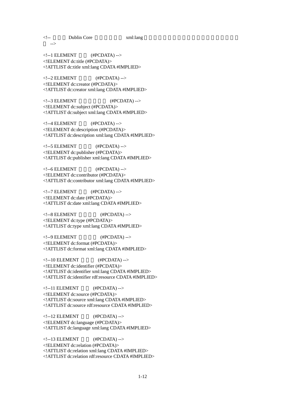$\langle$ !-- Dublin Core  $\langle$  xml:lang  $\langle$ -->

 $\langle$ !--1 ELEMENT (#PCDATA) --> <!ELEMENT dc:title (#PCDATA)> <!ATTLIST dc:title xml:lang CDATA #IMPLIED>

 $\langle$ !--2 ELEMENT (#PCDATA) --> <!ELEMENT dc:creator (#PCDATA)> <!ATTLIST dc:creator xml:lang CDATA #IMPLIED>

 $\langle$ !--3 ELEMENT (#PCDATA) --> <!ELEMENT dc:subject (#PCDATA)> <!ATTLIST dc:subject xml:lang CDATA #IMPLIED>

 $\langle$ !--4 ELEMENT (#PCDATA) --> <!ELEMENT dc:description (#PCDATA)> <!ATTLIST dc:description xml:lang CDATA #IMPLIED>

 $\langle$ !--5 ELEMENT (#PCDATA) --> <!ELEMENT dc:publisher (#PCDATA)> <!ATTLIST dc:publisher xml:lang CDATA #IMPLIED>

 $\langle$ !--6 ELEMENT (#PCDATA) --> <!ELEMENT dc:contributor (#PCDATA)> <!ATTLIST dc:contributor xml:lang CDATA #IMPLIED>

 $\langle$ !--7 ELEMENT (#PCDATA) --> <!ELEMENT dc:date (#PCDATA)> <!ATTLIST dc:date xml:lang CDATA #IMPLIED>

 $\langle$ !--8 ELEMENT (#PCDATA) --> <!ELEMENT dc:type (#PCDATA)> <!ATTLIST dc:type xml:lang CDATA #IMPLIED>

<!--9 ELEMENT (#PCDATA) --> <!ELEMENT dc:format (#PCDATA)> <!ATTLIST dc:format xml:lang CDATA #IMPLIED>

 $\langle$ !--10 ELEMENT (#PCDATA) --> <!ELEMENT dc:identifier (#PCDATA)> <!ATTLIST dc:identifier xml:lang CDATA #IMPLIED> <!ATTLIST dc:identifier rdf:resource CDATA #IMPLIED>

 $\langle$ !--11 ELEMENT (#PCDATA) --> <!ELEMENT dc:source (#PCDATA)> <!ATTLIST dc:source xml:lang CDATA #IMPLIED> <!ATTLIST dc:source rdf:resource CDATA #IMPLIED>

 $\langle$ !--12 ELEMENT (#PCDATA) --> <!ELEMENT dc:language (#PCDATA)> <!ATTLIST dc:language xml:lang CDATA #IMPLIED>

 $\langle$ !--13 ELEMENT (#PCDATA) --> <!ELEMENT dc:relation (#PCDATA)> <!ATTLIST dc:relation xml:lang CDATA #IMPLIED> <!ATTLIST dc:relation rdf:resource CDATA #IMPLIED>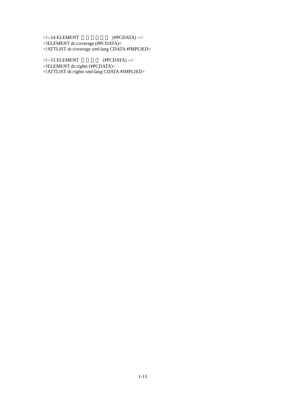$\langle$ !--14 ELEMENT (#PCDATA) --> <!ELEMENT dc:coverage (#PCDATA)> <!ATTLIST dc:coverage xml:lang CDATA #IMPLIED>

 $\langle$ !--15 ELEMENT (#PCDATA) --> <!ELEMENT dc:rights (#PCDATA)> <!ATTLIST dc:rights xml:lang CDATA #IMPLIED>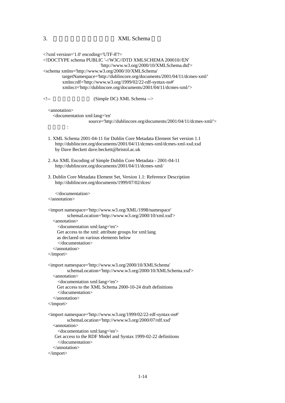```
<?xml version='1.0' encoding='UTF-8'?> 
<!DOCTYPE schema PUBLIC '-//W3C//DTD XMLSCHEMA 200010//EN' 
                             'http://www.w3.org/2000/10/XMLSchema.dtd'> 
<schema xmlns='http://www.w3.org/2000/10/XMLSchema' 
          targetNamespace='http://dublincore.org/documents/2001/04/11/dcmes-xml/' 
          xmlns:rdf='http://www.w3.org/1999/02/22-rdf-syntax-ns#' 
          xmlns:t='http://dublincore.org/documents/2001/04/11/dcmes-xml/'> 
\langle!--\langle (Simple DC) XML Schema --\rangle <annotation> 
     <documentation xml:lang='en' 
                       source='http://dublincore.org/documents/2001/04/11/dcmes-xml/'> 
 參考資料: 
   1. XML Schema 2001-04-11 for Dublin Core Metadata Element Set version 1.1 
       http://dublincore.org/documents/2001/04/11/dcmes-xml/dcmes-xml-xsd.xsd 
       by Dave Beckett dave.beckett@bristol.ac.uk 
   2. An XML Encoding of Simple Dublin Core Metadata - 2001-04-11 
       http://dublincore.org/documents/2001/04/11/dcmes-xml/ 
   3. Dublin Core Metadata Element Set, Version 1.1: Reference Description 
       http://dublincore.org/documents/1999/07/02/dces/ 
       </documentation> 
   </annotation> 
   <import namespace='http://www.w3.org/XML/1998/namespace' 
            schemaLocation='http://www.w3.org/2000/10/xml.xsd'> 
     <annotation> 
        <documentation xml:lang='en'> 
        Get access to the xml: attribute groups for xml:lang 
        as declared on various elements below 
        </documentation> 
     </annotation> 
   </import> 
   <import namespace='http://www.w3.org/2000/10/XMLSchema' 
             schemaLocation='http://www.w3.org/2000/10/XMLSchema.xsd'> 
     <annotation> 
        <documentation xml:lang='en'> 
        Get access to the XML Schema 2000-10-24 draft definitions 
        </documentation> 
     </annotation> 
   </import> 
   <import namespace='http://www.w3.org/1999/02/22-rdf-syntax-ns#' 
            schemaLocation='http://www.w3.org/2000/07/rdf.xsd' 
     <annotation> 
        <documentation xml:lang='en'> 
      Get access to the RDF Model and Syntax 1999-02-22 definitions 
        </documentation> 
      </annotation> 
   </import>
```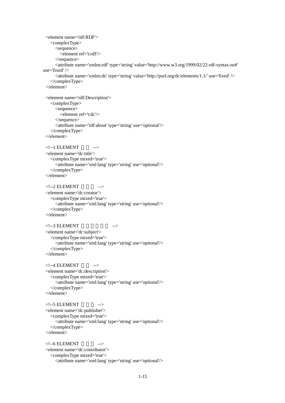```
 <element name='rdf:RDF'> 
    <complexType> 
       <sequence> 
          <element ref='t:rdf'/> 
       </sequence> 
       <attribute name='xmlns:rdf' type='string' value='http://www.w3.org/1999/02/22-rdf-syntax-ns#' 
use='fixed' /> 
       <attribute name='xmlns:dc' type='string' value='http://purl.org/dc/elements/1.1/' use='fixed' /> 
    </complexType> 
 \langleelement\rangle <element name='rdf:Description'> 
    <complexType> 
       <sequence> 
          <element ref='t:dc'/> 
       </sequence> 
       <attribute name='rdf:about' type='string' use='optional'/> 
    </complexType> 
  </element> 
 \langle -1 \rangle ELEMENT \sim <element name='dc:title'> 
    <complexType mixed='true'> 
       <attribute name='xml:lang' type='string' use='optional'/> 
    </complexType> 
  </element> 
 \langle -2 ELEMENT \longrightarrow <element name='dc:creator'> 
    <complexType mixed='true'> 
       <attribute name='xml:lang' type='string' use='optional'/> 
    </complexType> 
  </element> 
 \langle -3 \rangle ELEMENT
  <element name='dc:subject'> 
    <complexType mixed='true'> 
       <attribute name='xml:lang' type='string' use='optional'/> 
    </complexType> 
  </element> 
 \langle -4 ELEMENT \longrightarrow <element name='dc:description'> 
    <complexType mixed='true'> 
       <attribute name='xml:lang' type='string' use='optional'/> 
    </complexType> 
  </element> 
 <!--5 ELEMENT -->
  <element name='dc:publisher'> 
    <complexType mixed='true'> 
       <attribute name='xml:lang' type='string' use='optional'/> 
    </complexType> 
  </element> 
 \langle!--6 ELEMENT -->
  <element name='dc:contributor'> 
    <complexType mixed='true'> 
       <attribute name='xml:lang' type='string' use='optional'/>
```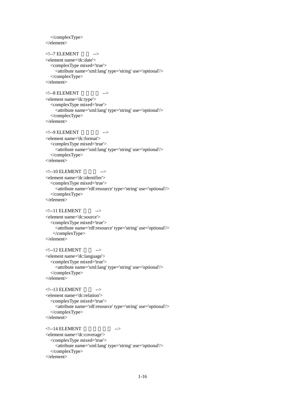```
 </complexType> 
 </element> 
<!--7 ELEMENT -->
 <element name='dc:date'> 
   <complexType mixed='true'> 
      <attribute name='xml:lang' type='string' use='optional'/> 
   </complexType> 
 </element> 
<!--8 ELEMENT -->
 <element name='dc:type'> 
   <complexType mixed='true'> 
      <attribute name='xml:lang' type='string' use='optional'/> 
   </complexType> 
 </element> 
\langle -9 ELEMENT \longrightarrow <element name='dc:format'> 
   <complexType mixed='true'> 
      <attribute name='xml:lang' type='string' use='optional'/> 
   </complexType> 
 </element> 
\langle -10 \text{ ELEMENT} \rangle -->
 <element name='dc:identifier'> 
   <complexType mixed='true'> 
      <attribute name='rdf:resource' type='string' use='optional'/> 
   </complexType> 
 </element> 
<!--11 ELEMENT -->
 <element name='dc:source'> 
   <complexType mixed='true'> 
      <attribute name='rdf:resource' type='string' use='optional'/> 
    </complexType> 
 </element> 
\langle -12 \text{ ELEMENT} \rangle -->
 <element name='dc:language'> 
   <complexType mixed='true'> 
      <attribute name='xml:lang' type='string' use='optional'/> 
   </complexType> 
 </element> 
<!--13 ELEMENT -->
 <element name='dc:relation'> 
   <complexType mixed='true'> 
      <attribute name='rdf:resource' type='string' use='optional'/> 
   </complexType> 
\langleelement\rangle\langle -14 \text{ ELEMENT} \rangle -->
 <element name='dc:coverage'> 
   <complexType mixed='true'> 
      <attribute name='xml:lang' type='string' use='optional'/> 
   </complexType>
```

```
 </element>
```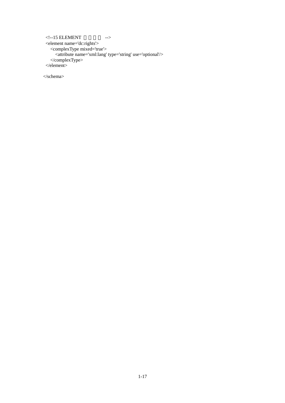```
<!--15 ELEMENT -->
 <element name='dc:rights'> 
 <complexType mixed='true'> 
 <attribute name='xml:lang' type='string' use='optional'/> 
 </complexType> 
 </element>
```
</schema>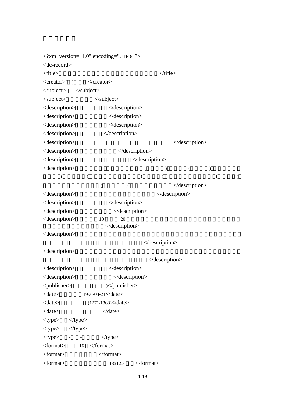<?xml version="1.0" encoding="UTF-8"?> <dc-record>  $\langle$ title>  $\langle$  $\langle \text{creation} \rangle$   $\langle \text{creation} \rangle$ <subject> </subject> <subject>單色墨印刊本</subject> <description>入藏方式:購買</description> <description>入藏來源:上海</description> <description>序跋位置:卷首</description> <description> </description>  $\langle$  description> <description>手書題記位置:書前</description>  $\langle$  description> <description> ( ) ( )  $($  ()  $)$   $($   $)$   $($   $)$   $($   $)$  $($   $)$   $\leq$  description> <description> </description> <description>裝訂:冊、線裝</description> <description> </description> <description> 10 20 </description> <description> </description> <description> 補部份版心上方補刊記年被剜去。文中墨等甚多。</description> <description>評等:重要古物</description> <description> </description>  $\langle$  publisher>  $\langle$   $\rangle$   $\langle$   $\rangle$   $\langle$  publisher> <date> 1996-03-21</date>  $\langle \text{date}\rangle$   $(1271/1368)\langle \text{date}\rangle$ <date>取得時間:抗戰時期</date> <type> </type> <type> </type>  $ltype$  -  $ltype$ <format>數量:16 </format> <format>尺寸名稱:半葉</format>  $\langle$  format $\rangle$  18x12.3  $\langle$  format $\rangle$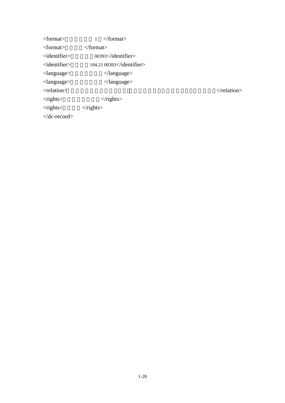| <format></format>             | $\langle$ format $\rangle$          |  |
|-------------------------------|-------------------------------------|--|
| <format></format>             | $\langle$ format $\rangle$          |  |
| <identifier></identifier>     | $00393 \lt$ /identifier>            |  |
| $\alpha$ identifier           | $104.21\,00393 \times$ /identifier> |  |
| $\langle$ language $\rangle$  | $\langle$ language $\rangle$        |  |
| $\langle$ language $\rangle$  | $\langle$ language $\rangle$        |  |
| <relation></relation>         |                                     |  |
| $<$ rights $>$                | $\langle$ rights>                   |  |
| $<$ rights $>$                | $\langle$ rights>                   |  |
| $\langle$ dc-record $\rangle$ |                                     |  |
|                               |                                     |  |

<relation>「鐵琴銅劍樓藏書目錄」卷四、「適園藏書志」卷一有著錄,作『元刊本』</relation>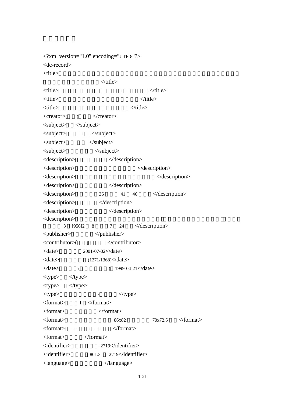<?xml version="1.0" encoding="UTF-8"?> <dc-record>  $\times$ title $>$ 

 $\langle$ title $\rangle$ <title>其他題名:後周右金吾衛將軍蕭處仁墓誌銘</title> <title>其他題名:右金吾衛將軍蕭處仁墓誌銘</title> <title>其他題名:蕭處仁及妻張氏墓誌銘</title>  $\langle \text{creactor} \rangle$   $\langle \text{creactor} \rangle$  $\langle$ subject>  $\langle$ subject> <subject>蕭處仁-傳記</subject>  $\langle$ subject> -  $\langle$ subject>  $\langle$ subject> $\langle$ /subject> <description>入藏方式:贈送</description> <description>入藏來源:國防部軍事情報局</description>  $\langle$  description> <description> </description>  $\leq$  description $>$  36 41 46  $\leq$  description $>$ <description>字體:楷書</description> <description>評等:重要古物</description> <description>  $3$  [956]2 8 7 24  $\triangleleft$  description> <publisher>刻立者不詳</publisher> <contributor>( ) </contributor>  $\langle date \rangle$  2001-07-02 $\langle date \rangle$  $\langle \text{date}\rangle$   $(1271/1368)\langle \text{date}\rangle$  $\langle date \rangle$  ( ) 1999-04-21 $\langle date \rangle$ <type> </type>  $ltype>$   $lt type>$  $lt^{\text{type}}$  -  $lt^{\text{type}}$ <format>數量:1 </format> <format>尺寸名稱:全葉</format>  $\langle$  format $\rangle$  86x82  $\langle$  70x72.5  $\langle$  format $\rangle$ <format>尺寸位置:全葉、實物</format>  $\langle$ format $\rangle$   $\langle$ /format $\rangle$ <identifier> 2719</identifier> <identifier>排架號:801.3 2719</identifier> <language> </language>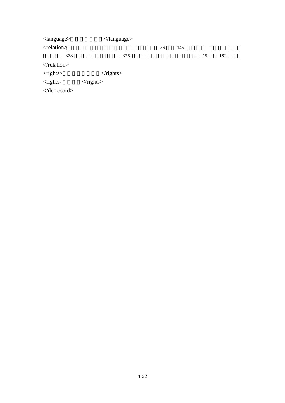| <language></language>                                                                       | $\langle$ language $\rangle$           |    |     |    |     |  |
|---------------------------------------------------------------------------------------------|----------------------------------------|----|-----|----|-----|--|
| <relation></relation>                                                                       |                                        | 36 | 145 |    |     |  |
| 338                                                                                         | 375                                    |    |     | 15 | 182 |  |
| $\langle$ relation $>$<br>$<$ rights $>$<br>$<$ rights $>$<br>$\langle$ dc-record $\rangle$ | $\langle$ rights><br>$\langle$ rights> |    |     |    |     |  |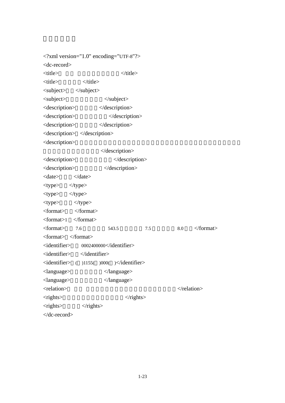<?xml version="1.0" encoding="UTF-8"?> <dc-record>  $<$ title $>$  $<$ /title $>$ <title>清銅琺瑯爐</title> <subject>香爐</subject> <subject>鍍金、掐絲、焊接</subject> <description> </description> <description>淺藍地彩色紋飾</description> <description> </description> <description> </description> <description>  $\langle$  description $\rangle$ <description>陰刻無框雙行楷款</description> <description>明清法瑯器展</description> <date>清康熙</date>  $ltype>$   $ltype>$ <type> </type>  $ltype>$   $ltype>$ <format>琺瑯</format> <format>1 </format>  $\langle$  format $\rangle$  7.6  $\langle$  543.5  $\langle$  7.5  $\rangle$  8.0  $\langle$  format $\rangle$ <format> </format>  $\langle$ identifier> 0002400000 $\langle$ identifier> <identifier>一零</identifier>  $\langle$ identifier> ( )1155( )000( ) $\langle$ identifier> <language> </language> <language>作品語文:漢文</language>  $\langle$  relation>  $\langle$  rights>  $\langle$   $\rangle$  $\langle$ rights> $\langle$ /rights> </dc-record>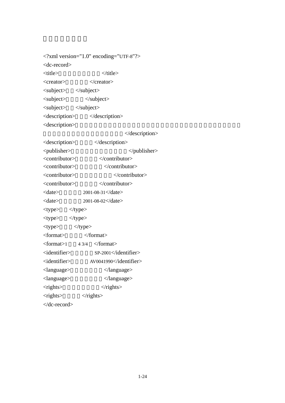<?xml version="1.0" encoding="UTF-8"?> <dc-record> <title>客語童心新一代童謠</title> <creator>傅也鳴等曲</creator> <subject>童謠</subject> <subject>兒童歌曲</subject>  $\langle \text{subject}\rangle$   $\langle \text{subject}\rangle$ <description>有歌詞</description> <description>

 $\triangle$ description $>$ <description>品相良好</description> <publisher>聲鼎文化事業股份有限公司</publisher> <contributor>蔡森泰等詞</contributor> <contributor>藍逸丞等演唱</contributor> <contributor>王登雄編曲、製作</contributor> <contributor>傅也鳴監製</contributor>  $\langle date \rangle$  2001-08-31 $\langle date \rangle$  $\langle date \rangle$  2001-08-02 $\langle date \rangle$ <type> </type> <type>原件</type> <type> </type> <format>雷射唱片</format>  $\epsilon$  = {format}  $\epsilon$  4 3/4  $\epsilon$  /format}  $\langle$ identifier>  $\langle$ SP-2001 $\langle$ identifier> <identifier> AV0041990</identifier>

<language> </language>

<language>作品語文:客語</language>

<rights>國家圖書館視聽室</rights>

 $\langle$ rights> $\langle$ /rights> </dc-record>